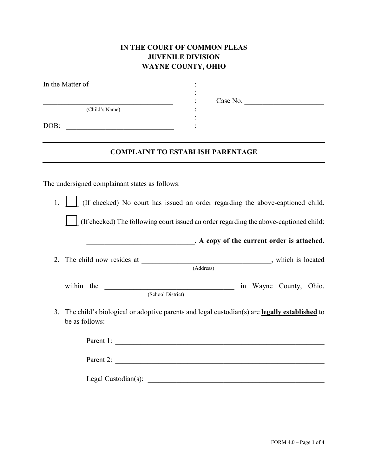## **IN THE COURT OF COMMON PLEAS JUVENILE DIVISION WAYNE COUNTY, OHIO**

| Case No.                                                                                                                                                                                                             |
|----------------------------------------------------------------------------------------------------------------------------------------------------------------------------------------------------------------------|
| <b>COMPLAINT TO ESTABLISH PARENTAGE</b>                                                                                                                                                                              |
| If checked) No court has issued an order regarding the above-captioned child.<br>(If checked) The following court issued an order regarding the above-captioned child:<br>. A copy of the current order is attached. |
|                                                                                                                                                                                                                      |

2. The child now resides at \_\_\_\_\_\_\_\_\_\_\_\_\_\_\_\_\_\_\_\_\_\_\_\_\_\_\_\_\_\_, which is located (Address)

| within the |                   |  | in Wayne County, Ohio. |  |
|------------|-------------------|--|------------------------|--|
|            | (School District) |  |                        |  |

3. The child's biological or adoptive parents and legal custodian(s) are **legally established** to be as follows:

| Parent 1:           |  |  |  |
|---------------------|--|--|--|
| Parent 2:           |  |  |  |
| Legal Custodian(s): |  |  |  |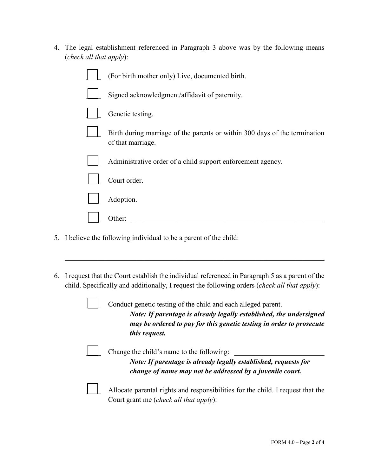4. The legal establishment referenced in Paragraph 3 above was by the following means (*check all that apply*):

| (For birth mother only) Live, documented birth.                                                 |
|-------------------------------------------------------------------------------------------------|
| Signed acknowledgment/affidavit of paternity.                                                   |
| Genetic testing.                                                                                |
| Birth during marriage of the parents or within 300 days of the termination<br>of that marriage. |
| Administrative order of a child support enforcement agency.                                     |
| Court order.                                                                                    |
| Adoption.                                                                                       |
| ther.                                                                                           |

- 5. I believe the following individual to be a parent of the child:
- 6. I request that the Court establish the individual referenced in Paragraph 5 as a parent of the child. Specifically and additionally, I request the following orders (*check all that apply*):

 $\mathcal{L}_\text{G}$  , and the contribution of the contribution of the contribution of the contribution of the contribution of the contribution of the contribution of the contribution of the contribution of the contribution of t

| Conduct genetic testing of the child and each alleged parent.                                                                                                      |
|--------------------------------------------------------------------------------------------------------------------------------------------------------------------|
| Note: If parentage is already legally established, the undersigned<br>may be ordered to pay for this genetic testing in order to prosecute<br><i>this request.</i> |
| Change the child's name to the following:<br>Note: If parentage is already legally established, requests for                                                       |
| change of name may not be addressed by a juvenile court.                                                                                                           |
| Allocate parental rights and responsibilities for the child. I request that the<br>Court grant me ( <i>check all that apply</i> ):                                 |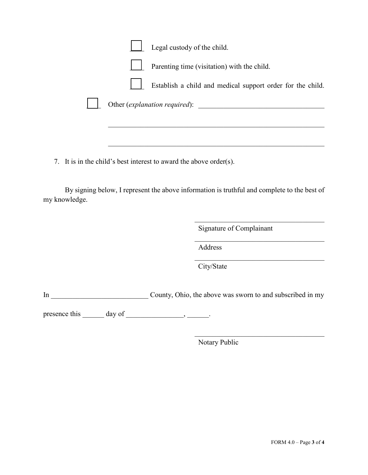| Legal custody of the child.                                |
|------------------------------------------------------------|
| Parenting time (visitation) with the child.                |
| Establish a child and medical support order for the child. |
| Other (explanation required):                              |
|                                                            |
|                                                            |

7. It is in the child's best interest to award the above order(s).

By signing below, I represent the above information is truthful and complete to the best of my knowledge.

Signature of Complainant

 $\mathcal{L}_\mathcal{L}$ 

 $\mathcal{L}_\mathcal{L}$ 

 $\mathcal{L}_\text{max}$  , where  $\mathcal{L}_\text{max}$  and  $\mathcal{L}_\text{max}$  and  $\mathcal{L}_\text{max}$ 

Address

City/State

In \_\_\_\_\_\_\_\_\_\_\_\_\_\_\_\_\_\_\_\_\_\_\_\_\_\_\_ County, Ohio, the above was sworn to and subscribed in my

presence this  $\_\_\_\_\$  day of  $\_\_\_\_\_\_\$ 

Notary Public